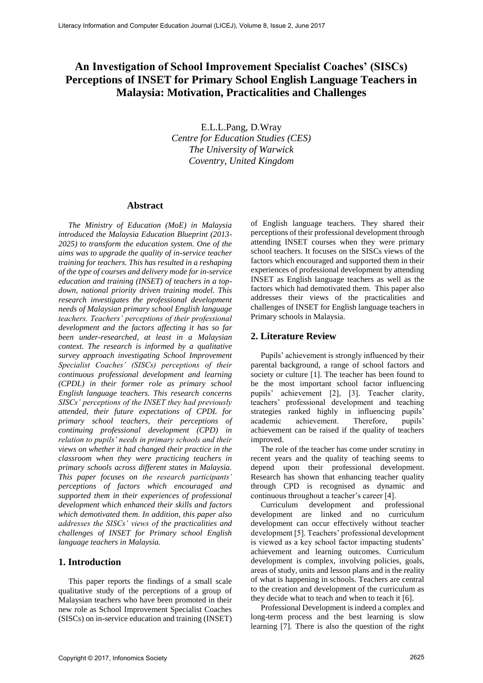# **An Investigation of School Improvement Specialist Coaches' (SISCs) Perceptions of INSET for Primary School English Language Teachers in Malaysia: Motivation, Practicalities and Challenges**

E.L.L.Pang, D.Wray *Centre for Education Studies (CES) The University of Warwick Coventry, United Kingdom*

#### **Abstract**

*The Ministry of Education (MoE) in Malaysia introduced the Malaysia Education Blueprint (2013- 2025) to transform the education system. One of the aims was to upgrade the quality of in-service teacher training for teachers. This has resulted in a reshaping of the type of courses and delivery mode for in-service education and training (INSET) of teachers in a topdown, national priority driven training model. This research investigates the professional development needs of Malaysian primary school English language teachers. Teachers' perceptions of their professional development and the factors affecting it has so far been under-researched, at least in a Malaysian context. The research is informed by a qualitative survey approach investigating School Improvement Specialist Coaches' (SISCs) perceptions of their continuous professional development and learning (CPDL) in their former role as primary school English language teachers. This research concerns SISCs' perceptions of the INSET they had previously attended, their future expectations of CPDL for primary school teachers, their perceptions of continuing professional development (CPD) in relation to pupils' needs in primary schools and their views on whether it had changed their practice in the classroom when they were practicing teachers in primary schools across different states in Malaysia. This paper focuses on the research participants' perceptions of factors which encouraged and supported them in their experiences of professional development which enhanced their skills and factors which demotivated them. In addition, this paper also addresses the SISCs' views of the practicalities and challenges of INSET for Primary school English language teachers in Malaysia.*

# **1. Introduction**

This paper reports the findings of a small scale qualitative study of the perceptions of a group of Malaysian teachers who have been promoted in their new role as School Improvement Specialist Coaches (SISCs) on in-service education and training (INSET) of English language teachers. They shared their perceptions of their professional development through attending INSET courses when they were primary school teachers. It focuses on the SISCs views of the factors which encouraged and supported them in their experiences of professional development by attending INSET as English language teachers as well as the factors which had demotivated them. This paper also addresses their views of the practicalities and challenges of INSET for English language teachers in Primary schools in Malaysia.

# **2. Literature Review**

Pupils' achievement is strongly influenced by their parental background, a range of school factors and society or culture [1]. The teacher has been found to be the most important school factor influencing pupils' achievement [2], [3]. Teacher clarity, teachers' professional development and teaching strategies ranked highly in influencing pupils' academic achievement. Therefore, pupils' achievement can be raised if the quality of teachers improved.

The role of the teacher has come under scrutiny in recent years and the quality of teaching seems to depend upon their professional development. Research has shown that enhancing teacher quality through CPD is recognised as dynamic and continuous throughout a teacher's career [4].

Curriculum development and professional development are linked and no curriculum development can occur effectively without teacher development [5]. Teachers' professional development is viewed as a key school factor impacting students' achievement and learning outcomes. Curriculum development is complex, involving policies, goals, areas of study, units and lesson plans and is the reality of what is happening in schools. Teachers are central to the creation and development of the curriculum as they decide what to teach and when to teach it [6].

Professional Development is indeed a complex and long-term process and the best learning is slow learning [7]. There is also the question of the right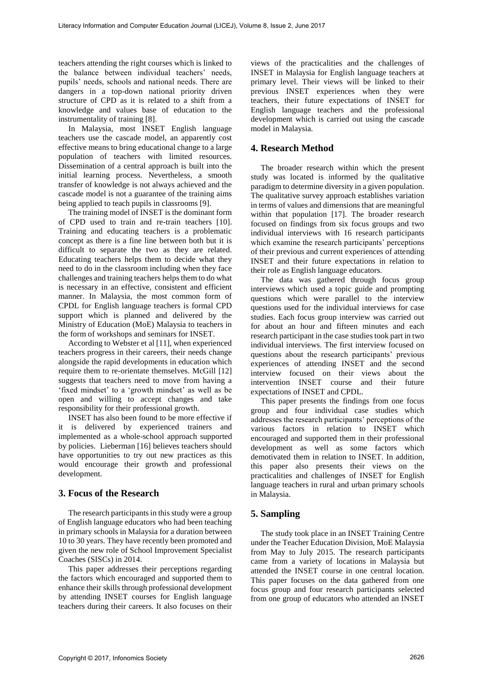teachers attending the right courses which is linked to the balance between individual teachers' needs, pupils' needs, schools and national needs. There are dangers in a top-down national priority driven structure of CPD as it is related to a shift from a knowledge and values base of education to the instrumentality of training [8].

In Malaysia, most INSET English language teachers use the cascade model, an apparently cost effective means to bring educational change to a large population of teachers with limited resources. Dissemination of a central approach is built into the initial learning process. Nevertheless, a smooth transfer of knowledge is not always achieved and the cascade model is not a guarantee of the training aims being applied to teach pupils in classrooms [9].

The training model of INSET is the dominant form of CPD used to train and re-train teachers [10]. Training and educating teachers is a problematic concept as there is a fine line between both but it is difficult to separate the two as they are related. Educating teachers helps them to decide what they need to do in the classroom including when they face challenges and training teachers helps them to do what is necessary in an effective, consistent and efficient manner. In Malaysia, the most common form of CPDL for English language teachers is formal CPD support which is planned and delivered by the Ministry of Education (MoE) Malaysia to teachers in the form of workshops and seminars for INSET.

According to Webster et al [11], when experienced teachers progress in their careers, their needs change alongside the rapid developments in education which require them to re-orientate themselves. McGill [12] suggests that teachers need to move from having a 'fixed mindset' to a 'growth mindset' as well as be open and willing to accept changes and take responsibility for their professional growth.

INSET has also been found to be more effective if it is delivered by experienced trainers and implemented as a whole-school approach supported by policies. Lieberman [16] believes teachers should have opportunities to try out new practices as this would encourage their growth and professional development.

# **3. Focus of the Research**

The research participants in this study were a group of English language educators who had been teaching in primary schools in Malaysia for a duration between 10 to 30 years. They have recently been promoted and given the new role of School Improvement Specialist Coaches (SISCs) in 2014.

This paper addresses their perceptions regarding the factors which encouraged and supported them to enhance their skills through professional development by attending INSET courses for English language teachers during their careers. It also focuses on their

views of the practicalities and the challenges of INSET in Malaysia for English language teachers at primary level. Their views will be linked to their previous INSET experiences when they were teachers, their future expectations of INSET for English language teachers and the professional development which is carried out using the cascade model in Malaysia.

# **4. Research Method**

The broader research within which the present study was located is informed by the qualitative paradigm to determine diversity in a given population. The qualitative survey approach establishes variation in terms of values and dimensions that are meaningful within that population [17]. The broader research focused on findings from six focus groups and two individual interviews with 16 research participants which examine the research participants' perceptions of their previous and current experiences of attending INSET and their future expectations in relation to their role as English language educators.

The data was gathered through focus group interviews which used a topic guide and prompting questions which were parallel to the interview questions used for the individual interviews for case studies. Each focus group interview was carried out for about an hour and fifteen minutes and each research participant in the case studies took part in two individual interviews. The first interview focused on questions about the research participants' previous experiences of attending INSET and the second interview focused on their views about the intervention INSET course and their future expectations of INSET and CPDL.

This paper presents the findings from one focus group and four individual case studies which addresses the research participants' perceptions of the various factors in relation to INSET which encouraged and supported them in their professional development as well as some factors which demotivated them in relation to INSET. In addition, this paper also presents their views on the practicalities and challenges of INSET for English language teachers in rural and urban primary schools in Malaysia.

# **5. Sampling**

The study took place in an INSET Training Centre under the Teacher Education Division, MoE Malaysia from May to July 2015. The research participants came from a variety of locations in Malaysia but attended the INSET course in one central location. This paper focuses on the data gathered from one focus group and four research participants selected from one group of educators who attended an INSET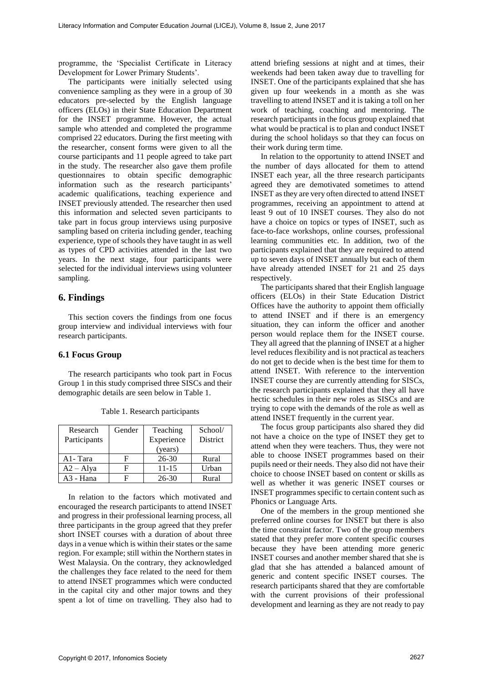programme, the 'Specialist Certificate in Literacy Development for Lower Primary Students'.

The participants were initially selected using convenience sampling as they were in a group of 30 educators pre-selected by the English language officers (ELOs) in their State Education Department for the INSET programme. However, the actual sample who attended and completed the programme comprised 22 educators. During the first meeting with the researcher, consent forms were given to all the course participants and 11 people agreed to take part in the study. The researcher also gave them profile questionnaires to obtain specific demographic information such as the research participants' academic qualifications, teaching experience and INSET previously attended. The researcher then used this information and selected seven participants to take part in focus group interviews using purposive sampling based on criteria including gender, teaching experience, type of schools they have taught in as well as types of CPD activities attended in the last two years. In the next stage, four participants were selected for the individual interviews using volunteer sampling.

### **6. Findings**

This section covers the findings from one focus group interview and individual interviews with four research participants.

#### **6.1 Focus Group**

The research participants who took part in Focus Group 1 in this study comprised three SISCs and their demographic details are seen below in Table 1.

| Research<br>Participants | Gender | Teaching<br>Experience<br>(years) | School/<br><b>District</b> |
|--------------------------|--------|-----------------------------------|----------------------------|
| A1-Tara                  | F      | 26-30                             | Rural                      |
| $A2 - Alya$              | F      | 11-15                             | Urban                      |
| A3 - Hana                |        | 26-30                             | Rural                      |

Table 1. Research participants

In relation to the factors which motivated and encouraged the research participants to attend INSET and progress in their professional learning process, all three participants in the group agreed that they prefer short INSET courses with a duration of about three days in a venue which is within their states or the same region. For example; still within the Northern states in West Malaysia. On the contrary, they acknowledged the challenges they face related to the need for them to attend INSET programmes which were conducted in the capital city and other major towns and they spent a lot of time on travelling. They also had to

attend briefing sessions at night and at times, their weekends had been taken away due to travelling for INSET. One of the participants explained that she has given up four weekends in a month as she was travelling to attend INSET and it is taking a toll on her work of teaching, coaching and mentoring. The research participants in the focus group explained that what would be practical is to plan and conduct INSET during the school holidays so that they can focus on their work during term time.

In relation to the opportunity to attend INSET and the number of days allocated for them to attend INSET each year, all the three research participants agreed they are demotivated sometimes to attend INSET as they are very often directed to attend INSET programmes, receiving an appointment to attend at least 9 out of 10 INSET courses. They also do not have a choice on topics or types of INSET, such as face-to-face workshops, online courses, professional learning communities etc. In addition, two of the participants explained that they are required to attend up to seven days of INSET annually but each of them have already attended INSET for 21 and 25 days respectively.

The participants shared that their English language officers (ELOs) in their State Education District Offices have the authority to appoint them officially to attend INSET and if there is an emergency situation, they can inform the officer and another person would replace them for the INSET course. They all agreed that the planning of INSET at a higher level reduces flexibility and is not practical as teachers do not get to decide when is the best time for them to attend INSET. With reference to the intervention INSET course they are currently attending for SISCs, the research participants explained that they all have hectic schedules in their new roles as SISCs and are trying to cope with the demands of the role as well as attend INSET frequently in the current year.

The focus group participants also shared they did not have a choice on the type of INSET they get to attend when they were teachers. Thus, they were not able to choose INSET programmes based on their pupils need or their needs. They also did not have their choice to choose INSET based on content or skills as well as whether it was generic INSET courses or INSET programmes specific to certain content such as Phonics or Language Arts.

One of the members in the group mentioned she preferred online courses for INSET but there is also the time constraint factor. Two of the group members stated that they prefer more content specific courses because they have been attending more generic INSET courses and another member shared that she is glad that she has attended a balanced amount of generic and content specific INSET courses. The research participants shared that they are comfortable with the current provisions of their professional development and learning as they are not ready to pay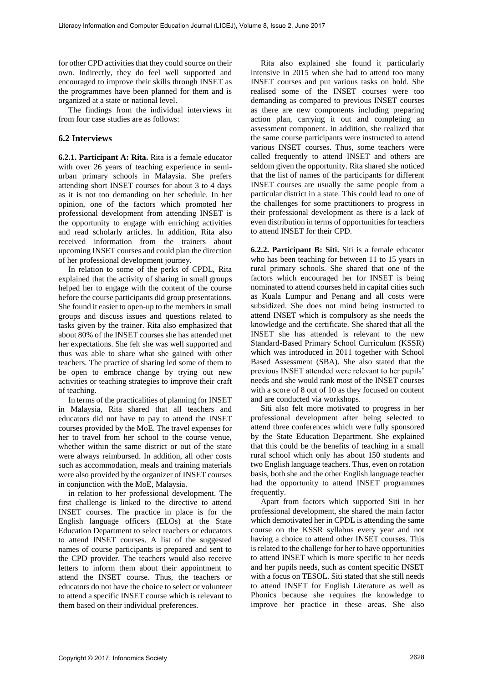for other CPD activities that they could source on their own. Indirectly, they do feel well supported and encouraged to improve their skills through INSET as the programmes have been planned for them and is organized at a state or national level.

The findings from the individual interviews in from four case studies are as follows:

### **6.2 Interviews**

**6.2.1. Participant A: Rita.** Rita is a female educator with over 26 years of teaching experience in semiurban primary schools in Malaysia. She prefers attending short INSET courses for about 3 to 4 days as it is not too demanding on her schedule. In her opinion, one of the factors which promoted her professional development from attending INSET is the opportunity to engage with enriching activities and read scholarly articles. In addition, Rita also received information from the trainers about upcoming INSET courses and could plan the direction of her professional development journey.

In relation to some of the perks of CPDL, Rita explained that the activity of sharing in small groups helped her to engage with the content of the course before the course participants did group presentations. She found it easier to open-up to the members in small groups and discuss issues and questions related to tasks given by the trainer. Rita also emphasized that about 80% of the INSET courses she has attended met her expectations. She felt she was well supported and thus was able to share what she gained with other teachers. The practice of sharing led some of them to be open to embrace change by trying out new activities or teaching strategies to improve their craft of teaching.

In terms of the practicalities of planning for INSET in Malaysia, Rita shared that all teachers and educators did not have to pay to attend the INSET courses provided by the MoE. The travel expenses for her to travel from her school to the course venue, whether within the same district or out of the state were always reimbursed. In addition, all other costs such as accommodation, meals and training materials were also provided by the organizer of INSET courses in conjunction with the MoE, Malaysia.

in relation to her professional development. The first challenge is linked to the directive to attend INSET courses. The practice in place is for the English language officers (ELOs) at the State Education Department to select teachers or educators to attend INSET courses. A list of the suggested names of course participants is prepared and sent to the CPD provider. The teachers would also receive letters to inform them about their appointment to attend the INSET course. Thus, the teachers or educators do not have the choice to select or volunteer to attend a specific INSET course which is relevant to them based on their individual preferences.

Rita also explained she found it particularly intensive in 2015 when she had to attend too many INSET courses and put various tasks on hold. She realised some of the INSET courses were too demanding as compared to previous INSET courses as there are new components including preparing action plan, carrying it out and completing an assessment component. In addition, she realized that the same course participants were instructed to attend various INSET courses. Thus, some teachers were called frequently to attend INSET and others are seldom given the opportunity. Rita shared she noticed that the list of names of the participants for different INSET courses are usually the same people from a particular district in a state. This could lead to one of the challenges for some practitioners to progress in their professional development as there is a lack of even distribution in terms of opportunities for teachers to attend INSET for their CPD.

**6.2.2. Participant B: Siti.** Siti is a female educator who has been teaching for between 11 to 15 years in rural primary schools. She shared that one of the factors which encouraged her for INSET is being nominated to attend courses held in capital cities such as Kuala Lumpur and Penang and all costs were subsidized. She does not mind being instructed to attend INSET which is compulsory as she needs the knowledge and the certificate. She shared that all the INSET she has attended is relevant to the new Standard-Based Primary School Curriculum (KSSR) which was introduced in 2011 together with School Based Assessment (SBA). She also stated that the previous INSET attended were relevant to her pupils' needs and she would rank most of the INSET courses with a score of 8 out of 10 as they focused on content and are conducted via workshops.

Siti also felt more motivated to progress in her professional development after being selected to attend three conferences which were fully sponsored by the State Education Department. She explained that this could be the benefits of teaching in a small rural school which only has about 150 students and two English language teachers. Thus, even on rotation basis, both she and the other English language teacher had the opportunity to attend INSET programmes frequently.

Apart from factors which supported Siti in her professional development, she shared the main factor which demotivated her in CPDL is attending the same course on the KSSR syllabus every year and not having a choice to attend other INSET courses. This is related to the challenge for her to have opportunities to attend INSET which is more specific to her needs and her pupils needs, such as content specific INSET with a focus on TESOL. Siti stated that she still needs to attend INSET for English Literature as well as Phonics because she requires the knowledge to improve her practice in these areas. She also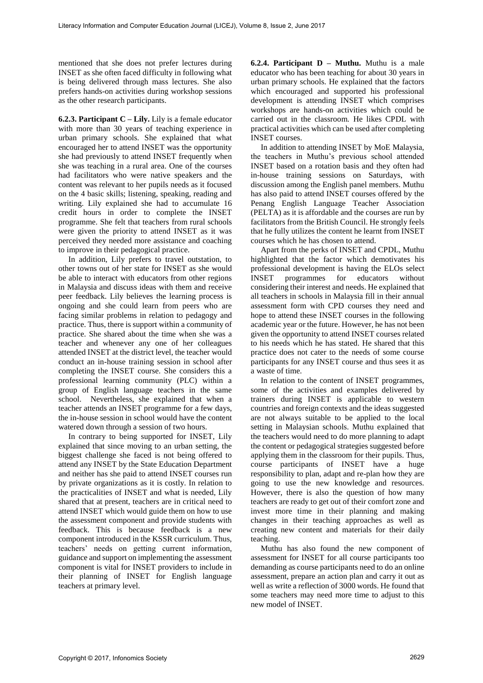mentioned that she does not prefer lectures during INSET as she often faced difficulty in following what is being delivered through mass lectures. She also prefers hands-on activities during workshop sessions as the other research participants.

**6.2.3. Participant C – Lily.** Lily is a female educator with more than 30 years of teaching experience in urban primary schools. She explained that what encouraged her to attend INSET was the opportunity she had previously to attend INSET frequently when she was teaching in a rural area. One of the courses had facilitators who were native speakers and the content was relevant to her pupils needs as it focused on the 4 basic skills; listening, speaking, reading and writing. Lily explained she had to accumulate 16 credit hours in order to complete the INSET programme. She felt that teachers from rural schools were given the priority to attend INSET as it was perceived they needed more assistance and coaching to improve in their pedagogical practice.

In addition, Lily prefers to travel outstation, to other towns out of her state for INSET as she would be able to interact with educators from other regions in Malaysia and discuss ideas with them and receive peer feedback. Lily believes the learning process is ongoing and she could learn from peers who are facing similar problems in relation to pedagogy and practice. Thus, there is support within a community of practice. She shared about the time when she was a teacher and whenever any one of her colleagues attended INSET at the district level, the teacher would conduct an in-house training session in school after completing the INSET course. She considers this a professional learning community (PLC) within a group of English language teachers in the same school. Nevertheless, she explained that when a teacher attends an INSET programme for a few days, the in-house session in school would have the content watered down through a session of two hours.

In contrary to being supported for INSET, Lily explained that since moving to an urban setting, the biggest challenge she faced is not being offered to attend any INSET by the State Education Department and neither has she paid to attend INSET courses run by private organizations as it is costly. In relation to the practicalities of INSET and what is needed, Lily shared that at present, teachers are in critical need to attend INSET which would guide them on how to use the assessment component and provide students with feedback. This is because feedback is a new component introduced in the KSSR curriculum. Thus, teachers' needs on getting current information, guidance and support on implementing the assessment component is vital for INSET providers to include in their planning of INSET for English language teachers at primary level.

**6.2.4. Participant D – Muthu.** Muthu is a male educator who has been teaching for about 30 years in urban primary schools. He explained that the factors which encouraged and supported his professional development is attending INSET which comprises workshops are hands-on activities which could be carried out in the classroom. He likes CPDL with practical activities which can be used after completing INSET courses.

In addition to attending INSET by MoE Malaysia, the teachers in Muthu's previous school attended INSET based on a rotation basis and they often had in-house training sessions on Saturdays, with discussion among the English panel members. Muthu has also paid to attend INSET courses offered by the Penang English Language Teacher Association (PELTA) as it is affordable and the courses are run by facilitators from the British Council. He strongly feels that he fully utilizes the content he learnt from INSET courses which he has chosen to attend.

Apart from the perks of INSET and CPDL, Muthu highlighted that the factor which demotivates his professional development is having the ELOs select INSET programmes for educators without considering their interest and needs. He explained that all teachers in schools in Malaysia fill in their annual assessment form with CPD courses they need and hope to attend these INSET courses in the following academic year or the future. However, he has not been given the opportunity to attend INSET courses related to his needs which he has stated. He shared that this practice does not cater to the needs of some course participants for any INSET course and thus sees it as a waste of time.

In relation to the content of INSET programmes, some of the activities and examples delivered by trainers during INSET is applicable to western countries and foreign contexts and the ideas suggested are not always suitable to be applied to the local setting in Malaysian schools. Muthu explained that the teachers would need to do more planning to adapt the content or pedagogical strategies suggested before applying them in the classroom for their pupils. Thus, course participants of INSET have a huge responsibility to plan, adapt and re-plan how they are going to use the new knowledge and resources. However, there is also the question of how many teachers are ready to get out of their comfort zone and invest more time in their planning and making changes in their teaching approaches as well as creating new content and materials for their daily teaching.

Muthu has also found the new component of assessment for INSET for all course participants too demanding as course participants need to do an online assessment, prepare an action plan and carry it out as well as write a reflection of 3000 words. He found that some teachers may need more time to adjust to this new model of INSET.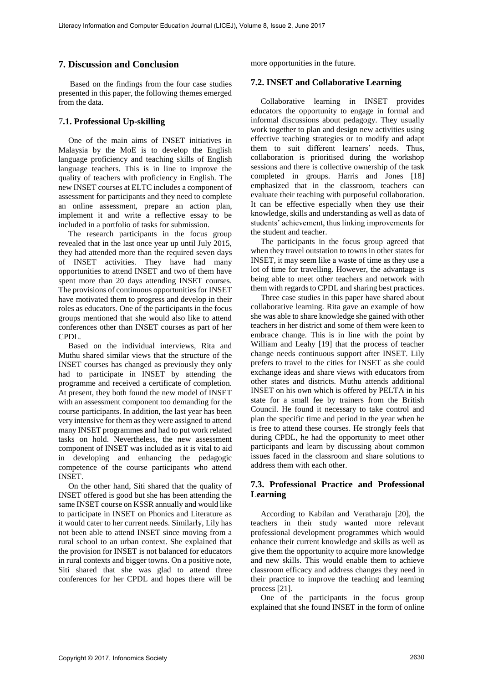### **7. Discussion and Conclusion**

Based on the findings from the four case studies presented in this paper, the following themes emerged from the data.

#### 7**.1. Professional Up-skilling**

One of the main aims of INSET initiatives in Malaysia by the MoE is to develop the English language proficiency and teaching skills of English language teachers. This is in line to improve the quality of teachers with proficiency in English. The new INSET courses at ELTC includes a component of assessment for participants and they need to complete an online assessment, prepare an action plan, implement it and write a reflective essay to be included in a portfolio of tasks for submission.

The research participants in the focus group revealed that in the last once year up until July 2015, they had attended more than the required seven days of INSET activities. They have had many opportunities to attend INSET and two of them have spent more than 20 days attending INSET courses. The provisions of continuous opportunities for INSET have motivated them to progress and develop in their roles as educators. One of the participants in the focus groups mentioned that she would also like to attend conferences other than INSET courses as part of her CPDL.

Based on the individual interviews, Rita and Muthu shared similar views that the structure of the INSET courses has changed as previously they only had to participate in INSET by attending the programme and received a certificate of completion. At present, they both found the new model of INSET with an assessment component too demanding for the course participants. In addition, the last year has been very intensive for them as they were assigned to attend many INSET programmes and had to put work related tasks on hold. Nevertheless, the new assessment component of INSET was included as it is vital to aid in developing and enhancing the pedagogic competence of the course participants who attend INSET.

On the other hand, Siti shared that the quality of INSET offered is good but she has been attending the same INSET course on KSSR annually and would like to participate in INSET on Phonics and Literature as it would cater to her current needs. Similarly, Lily has not been able to attend INSET since moving from a rural school to an urban context. She explained that the provision for INSET is not balanced for educators in rural contexts and bigger towns. On a positive note, Siti shared that she was glad to attend three conferences for her CPDL and hopes there will be

more opportunities in the future.

#### **7.2. INSET and Collaborative Learning**

Collaborative learning in INSET provides educators the opportunity to engage in formal and informal discussions about pedagogy. They usually work together to plan and design new activities using effective teaching strategies or to modify and adapt them to suit different learners' needs. Thus, collaboration is prioritised during the workshop sessions and there is collective ownership of the task completed in groups. Harris and Jones [18] emphasized that in the classroom, teachers can evaluate their teaching with purposeful collaboration. It can be effective especially when they use their knowledge, skills and understanding as well as data of students' achievement, thus linking improvements for the student and teacher.

The participants in the focus group agreed that when they travel outstation to towns in other states for INSET, it may seem like a waste of time as they use a lot of time for travelling. However, the advantage is being able to meet other teachers and network with them with regards to CPDL and sharing best practices.

Three case studies in this paper have shared about collaborative learning. Rita gave an example of how she was able to share knowledge she gained with other teachers in her district and some of them were keen to embrace change. This is in line with the point by William and Leahy [19] that the process of teacher change needs continuous support after INSET. Lily prefers to travel to the cities for INSET as she could exchange ideas and share views with educators from other states and districts. Muthu attends additional INSET on his own which is offered by PELTA in his state for a small fee by trainers from the British Council. He found it necessary to take control and plan the specific time and period in the year when he is free to attend these courses. He strongly feels that during CPDL, he had the opportunity to meet other participants and learn by discussing about common issues faced in the classroom and share solutions to address them with each other.

### **7.3. Professional Practice and Professional Learning**

According to Kabilan and Veratharaju [20], the teachers in their study wanted more relevant professional development programmes which would enhance their current knowledge and skills as well as give them the opportunity to acquire more knowledge and new skills. This would enable them to achieve classroom efficacy and address changes they need in their practice to improve the teaching and learning process [21].

One of the participants in the focus group explained that she found INSET in the form of online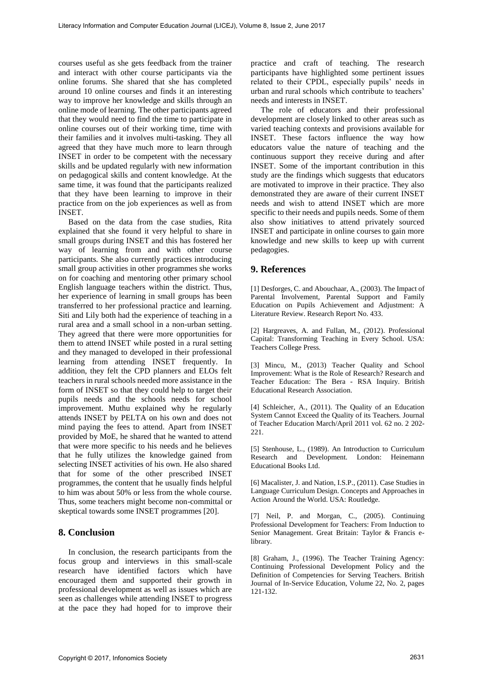courses useful as she gets feedback from the trainer and interact with other course participants via the online forums. She shared that she has completed around 10 online courses and finds it an interesting way to improve her knowledge and skills through an online mode of learning. The other participants agreed that they would need to find the time to participate in online courses out of their working time, time with their families and it involves multi-tasking. They all agreed that they have much more to learn through INSET in order to be competent with the necessary skills and be updated regularly with new information on pedagogical skills and content knowledge. At the same time, it was found that the participants realized that they have been learning to improve in their practice from on the job experiences as well as from INSET.

Based on the data from the case studies, Rita explained that she found it very helpful to share in small groups during INSET and this has fostered her way of learning from and with other course participants. She also currently practices introducing small group activities in other programmes she works on for coaching and mentoring other primary school English language teachers within the district. Thus, her experience of learning in small groups has been transferred to her professional practice and learning. Siti and Lily both had the experience of teaching in a rural area and a small school in a non-urban setting. They agreed that there were more opportunities for them to attend INSET while posted in a rural setting and they managed to developed in their professional learning from attending INSET frequently. In addition, they felt the CPD planners and ELOs felt teachers in rural schools needed more assistance in the form of INSET so that they could help to target their pupils needs and the schools needs for school improvement. Muthu explained why he regularly attends INSET by PELTA on his own and does not mind paying the fees to attend. Apart from INSET provided by MoE, he shared that he wanted to attend that were more specific to his needs and he believes that he fully utilizes the knowledge gained from selecting INSET activities of his own. He also shared that for some of the other prescribed INSET programmes, the content that he usually finds helpful to him was about 50% or less from the whole course. Thus, some teachers might become non-committal or skeptical towards some INSET programmes [20].

### **8. Conclusion**

In conclusion, the research participants from the focus group and interviews in this small-scale research have identified factors which have encouraged them and supported their growth in professional development as well as issues which are seen as challenges while attending INSET to progress at the pace they had hoped for to improve their

practice and craft of teaching. The research participants have highlighted some pertinent issues related to their CPDL, especially pupils' needs in urban and rural schools which contribute to teachers' needs and interests in INSET.

The role of educators and their professional development are closely linked to other areas such as varied teaching contexts and provisions available for INSET. These factors influence the way how educators value the nature of teaching and the continuous support they receive during and after INSET. Some of the important contribution in this study are the findings which suggests that educators are motivated to improve in their practice. They also demonstrated they are aware of their current INSET needs and wish to attend INSET which are more specific to their needs and pupils needs. Some of them also show initiatives to attend privately sourced INSET and participate in online courses to gain more knowledge and new skills to keep up with current pedagogies.

#### **9. References**

[1] Desforges, C. and Abouchaar, A., (2003). The Impact of Parental Involvement, Parental Support and Family Education on Pupils Achievement and Adjustment: A Literature Review. Research Report No. 433.

[2] Hargreaves, A. and Fullan, M., (2012). Professional Capital: Transforming Teaching in Every School. USA: Teachers College Press.

[3] Mincu, M., (2013) Teacher Quality and School Improvement: What is the Role of Research? Research and Teacher Education: The Bera - RSA Inquiry. British Educational Research Association.

[4] Schleicher, A., (2011). The Quality of an Education System Cannot Exceed the Quality of its Teachers. Journal of Teacher Education March/April 2011 vol. 62 no. 2 202- 221.

[5] Stenhouse, L., (1989). An Introduction to Curriculum Research and Development. London: Heinemann Educational Books Ltd.

[6] Macalister, J. and Nation, I.S.P., (2011). Case Studies in Language Curriculum Design. Concepts and Approaches in Action Around the World. USA: Routledge.

[7] Neil, P. and Morgan, C., (2005). Continuing Professional Development for Teachers: From Induction to Senior Management. Great Britain: Taylor & Francis elibrary.

[8] Graham, J., (1996). The Teacher Training Agency: Continuing Professional Development Policy and the Definition of Competencies for Serving Teachers. British Journal of In-Service Education, Volume 22, No. 2, pages 121-132.